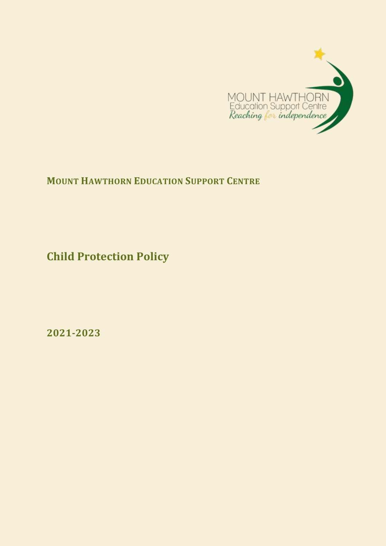

**MOUNT HAWTHORN EDUCATION SUPPORT CENTRE**

**Child Protection Policy**

**2021-2023**